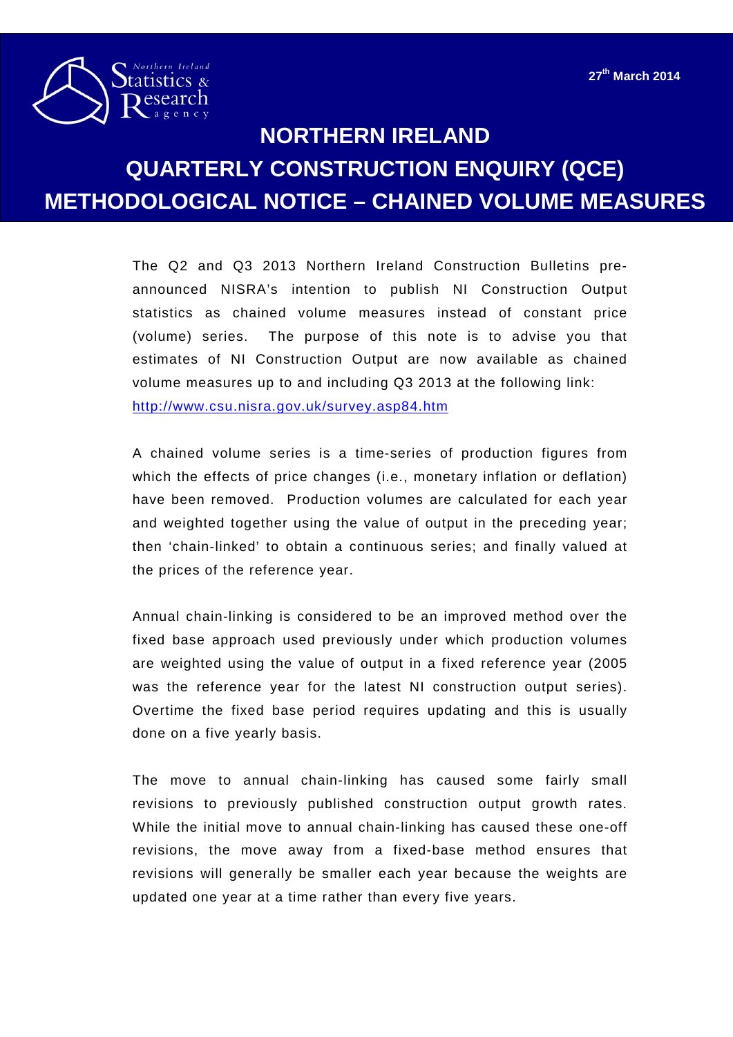

## **NORTHERN IRELAND QUARTERLY CONSTRUCTION ENQUIRY (QCE) METHODOLOGICAL NOTICE – CHAINED VOLUME MEASURES**

The Q2 and Q3 2013 Northern Ireland Construction Bulletins preannounced NISRA's intention to publish NI Construction Output statistics as chained volume measures instead of constant price (volume) series. The purpose of this note is to advise you that estimates of NI Construction Output are now available as chained volume measures up to and including Q3 2013 at the following link: <http://www.csu.nisra.gov.uk/survey.asp84.htm>

A chained volume series is a time-series of production figures from which the effects of price changes (i.e., monetary inflation or deflation) have been removed. Production volumes are calculated for each year and weighted together using the value of output in the preceding year; then 'chain-linked' to obtain a continuous series; and finally valued at the prices of the reference year.

Annual chain-linking is considered to be an improved method over the fixed base approach used previously under which production volumes are weighted using the value of output in a fixed reference year (2005 was the reference year for the latest NI construction output series). Overtime the fixed base period requires updating and this is usually done on a five yearly basis.

The move to annual chain-linking has caused some fairly small revisions to previously published construction output growth rates. While the initial move to annual chain-linking has caused these one-off revisions, the move away from a fixed-base method ensures that revisions will generally be smaller each year because the weights are updated one year at a time rather than every five years.